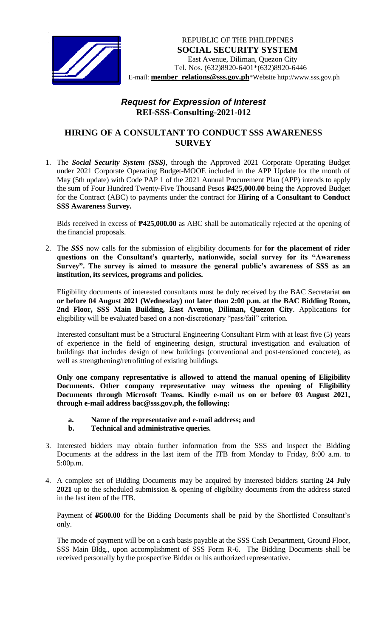

*[* E-mail: **member\_relations@sss.gov.ph**\*Website http://www.sss.gov.ph REPUBLIC OF THE PHILIPPINES  **SOCIAL SECURITY SYSTEM** East Avenue, Diliman, Quezon City Tel. Nos. (632)8920-6401\*(632)8920-6446

## *Request for Expression of Interest*  **REI-SSS-Consulting-2021-012**

## **HIRING OF A CONSULTANT TO CONDUCT SSS AWARENESS SURVEY**

1. The *Social Security System (SSS)*, through the Approved 2021 Corporate Operating Budget under 2021 Corporate Operating Budget-MOOE included in the APP Update for the month of May (5th update) with Code PAP 1 of the 2021 Annual Procurement Plan (APP) intends to apply the sum of Four Hundred Twenty-Five Thousand Pesos **P425,000.00** being the Approved Budget for the Contract (ABC) to payments under the contract for **Hiring of a Consultant to Conduct SSS Awareness Survey.**

Bids received in excess of **₱425,000.00** as ABC shall be automatically rejected at the opening of the financial proposals.

2. The *SSS* now calls for the submission of eligibility documents for **for the placement of rider questions on the Consultant's quarterly, nationwide, social survey for its "Awareness Survey". The survey is aimed to measure the general public's awareness of SSS as an institution, its services, programs and policies.**

Eligibility documents of interested consultants must be duly received by the BAC Secretariat **on or before 04 August 2021 (Wednesday) not later than 2:00 p.m. at the BAC Bidding Room, 2nd Floor, SSS Main Building, East Avenue, Diliman, Quezon City**. Applications for eligibility will be evaluated based on a non-discretionary "pass/fail" criterion.

Interested consultant must be a Structural Engineering Consultant Firm with at least five (5) years of experience in the field of engineering design, structural investigation and evaluation of buildings that includes design of new buildings (conventional and post-tensioned concrete), as well as strengthening/retrofitting of existing buildings.

**Only one company representative is allowed to attend the manual opening of Eligibility Documents. Other company representative may witness the opening of Eligibility Documents through Microsoft Teams. Kindly e-mail us on or before 03 August 2021, through e-mail address bac@sss.gov.ph, the following:**

- **a. Name of the representative and e-mail address; and**
- **b. Technical and administrative queries.**
- 3. Interested bidders may obtain further information from the SSS and inspect the Bidding Documents at the address in the last item of the ITB from Monday to Friday, 8:00 a.m. to 5:00p.m.
- 4. A complete set of Bidding Documents may be acquired by interested bidders starting **24 July 2021** up to the scheduled submission & opening of eligibility documents from the address stated in the last item of the ITB.

Payment of **P500.00** for the Bidding Documents shall be paid by the Shortlisted Consultant's only.

The mode of payment will be on a cash basis payable at the SSS Cash Department, Ground Floor, SSS Main Bldg., upon accomplishment of SSS Form R-6. The Bidding Documents shall be received personally by the prospective Bidder or his authorized representative.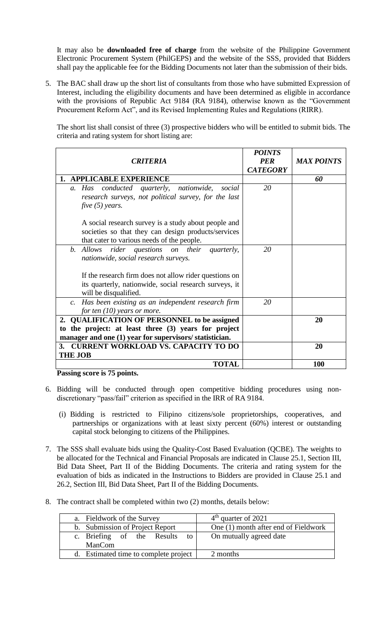It may also be **downloaded free of charge** from the website of the Philippine Government Electronic Procurement System (PhilGEPS) and the website of the SSS*,* provided that Bidders shall pay the applicable fee for the Bidding Documents not later than the submission of their bids.

5. The BAC shall draw up the short list of consultants from those who have submitted Expression of Interest, including the eligibility documents and have been determined as eligible in accordance with the provisions of Republic Act 9184 (RA 9184), otherwise known as the "Government Procurement Reform Act", and its Revised Implementing Rules and Regulations (RIRR).

The short list shall consist of three (3) prospective bidders who will be entitled to submit bids. The criteria and rating system for short listing are:

|                                                         | <b>POINTS</b>   |                   |
|---------------------------------------------------------|-----------------|-------------------|
| CRITERIA                                                | <b>PER</b>      | <b>MAX POINTS</b> |
|                                                         | <b>CATEGORY</b> |                   |
| 1. APPLICABLE EXPERIENCE                                |                 | 60                |
| a. Has conducted quarterly, nationwide,<br>social       | 20              |                   |
| research surveys, not political survey, for the last    |                 |                   |
| five $(5)$ years.                                       |                 |                   |
|                                                         |                 |                   |
| A social research survey is a study about people and    |                 |                   |
| societies so that they can design products/services     |                 |                   |
| that cater to various needs of the people.              |                 |                   |
| b. Allows rider questions on their quarterly,           | 20              |                   |
| nationwide, social research surveys.                    |                 |                   |
|                                                         |                 |                   |
| If the research firm does not allow rider questions on  |                 |                   |
| its quarterly, nationwide, social research surveys, it  |                 |                   |
| will be disqualified.                                   |                 |                   |
| c. Has been existing as an independent research firm    | 20              |                   |
| for ten $(10)$ years or more.                           |                 |                   |
| 2. QUALIFICATION OF PERSONNEL to be assigned            |                 | 20                |
| to the project: at least three (3) years for project    |                 |                   |
| manager and one (1) year for supervisors/ statistician. |                 |                   |
| 3. CURRENT WORKLOAD VS. CAPACITY TO DO                  |                 | 20                |
| <b>THE JOB</b>                                          |                 |                   |
| <b>TOTAL</b>                                            |                 | 100               |

**Passing score is 75 points.**

- 6. Bidding will be conducted through open competitive bidding procedures using nondiscretionary "pass/fail" criterion as specified in the IRR of RA 9184.
	- (i) Bidding is restricted to Filipino citizens/sole proprietorships, cooperatives, and partnerships or organizations with at least sixty percent (60%) interest or outstanding capital stock belonging to citizens of the Philippines.
- 7. The SSS shall evaluate bids using the Quality-Cost Based Evaluation (QCBE). The weights to be allocated for the Technical and Financial Proposals are indicated in Clause 25.1, Section III, Bid Data Sheet, Part II of the Bidding Documents. The criteria and rating system for the evaluation of bids as indicated in the Instructions to Bidders are provided in Clause 25.1 and 26.2, Section III, Bid Data Sheet, Part II of the Bidding Documents.
- 8. The contract shall be completed within two (2) months, details below:

| a. Fieldwork of the Survey                   | $4th$ quarter of 2021                |
|----------------------------------------------|--------------------------------------|
| b. Submission of Project Report              | One (1) month after end of Fieldwork |
| c. Briefing of the Results<br>to l<br>ManCom | On mutually agreed date              |
| d. Estimated time to complete project        | 2 months                             |